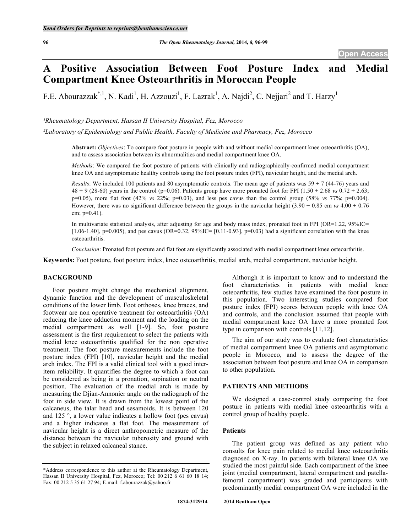# **A Positive Association Between Foot Posture Index and Medial Compartment Knee Osteoarthritis in Moroccan People**

F.E. Abourazzak<sup>\*, 1</sup>, N. Kadi<sup>1</sup>, H. Azzouzi<sup>1</sup>, F. Lazrak<sup>1</sup>, A. Najdi<sup>2</sup>, C. Nejjari<sup>2</sup> and T. Harzy<sup>1</sup>

*¹Rheumatology Department, Hassan II University Hospital, Fez, Morocco*

*²Laboratory of Epidemiology and Public Health, Faculty of Medicine and Pharmacy, Fez, Morocco*

**Abstract:** *Objectives*: To compare foot posture in people with and without medial compartment knee osteoarthritis (OA), and to assess association between its abnormalities and medial compartment knee OA.

*Methods*: We compared the foot posture of patients with clinically and radiographically-confirmed medial compartment knee OA and asymptomatic healthy controls using the foot posture index (FPI), navicular height, and the medial arch.

*Results*: We included 100 patients and 80 asymptomatic controls. The mean age of patients was  $59 \pm 7$  (44-76) years and  $48 \pm 9$  (28-60) years in the control (p=0.06). Patients group have more pronated foot for FPI (1.50  $\pm$  2.68 *vs* 0.72  $\pm$  2.63; p=0.05), more flat foot (42% *vs* 22%; p=0.03), and less pes cavus than the control group (58% *vs* 77%; p=0.004). However, there was no significant difference between the groups in the navicular height  $(3.90 \pm 0.85 \text{ cm } v_s \cdot 4.00 \pm 0.76 \text{ m}^2)$ cm;  $p=0.41$ ).

In multivariate statistical analysis, after adjusting for age and body mass index, pronated foot in FPI (OR=1.22, 95%IC= [ $1.06-1.40$ ], p=0.005), and pes cavus (OR=0.32, 95%IC= [0.11-0.93], p=0.03) had a significant correlation with the knee osteoarthritis.

*Conclusion*: Pronated foot posture and flat foot are significantly associated with medial compartment knee osteoarthritis.

**Keywords:** Foot posture, foot posture index, knee osteoarthritis, medial arch, medial compartment, navicular height.

# **BACKGROUND**

Foot posture might change the mechanical alignment, dynamic function and the development of musculoskeletal conditions of the lower limb. Foot orthoses, knee braces, and footwear are non operative treatment for osteoarthritis (OA) reducing the knee adduction moment and the loading on the medial compartment as well [1-9]. So, foot posture assessment is the first requirement to select the patients with medial knee osteoarthritis qualified for the non operative treatment. The foot posture measurements include the foot posture index (FPI) [10], navicular height and the medial arch index. The FPI is a valid clinical tool with a good interitem reliability. It quantifies the degree to which a foot can be considered as being in a pronation, supination or neutral position. The evaluation of the medial arch is made by measuring the Djian-Annonier angle on the radiograph of the foot in side view. It is drawn from the lowest point of the calcaneus, the talar head and sesamoids. It is between 120 and 125 °, a lower value indicates a hollow foot (pes cavus) and a higher indicates a flat foot. The measurement of navicular height is a direct anthropometric measure of the distance between the navicular tuberosity and ground with the subject in relaxed calcaneal stance.

Although it is important to know and to understand the foot characteristics in patients with medial knee osteoarthritis, few studies have examined the foot posture in this population. Two interesting studies compared foot posture index (FPI) scores between people with knee OA and controls, and the conclusion assumed that people with medial compartment knee OA have a more pronated foot type in comparison with controls [11,12].

The aim of our study was to evaluate foot characteristics of medial compartment knee OA patients and asymptomatic people in Morocco, and to assess the degree of the association between foot posture and knee OA in comparison to other population.

#### **PATIENTS AND METHODS**

We designed a case-control study comparing the foot posture in patients with medial knee osteoarthritis with a control group of healthy people.

#### **Patients**

The patient group was defined as any patient who consults for knee pain related to medial knee osteoarthritis diagnosed on X-ray. In patients with bilateral knee OA we studied the most painful side. Each compartment of the knee joint (medial compartment, lateral compartment and patellafemoral compartment) was graded and participants with predominantly medial compartment OA were included in the

<sup>\*</sup>Address correspondence to this author at the Rheumatology Department, Hassan II University Hospital, Fez, Morocco; Tel: 00 212 6 61 60 18 14; Fax: 00 212 5 35 61 27 94; E-mail: f.abourazzak@yahoo.fr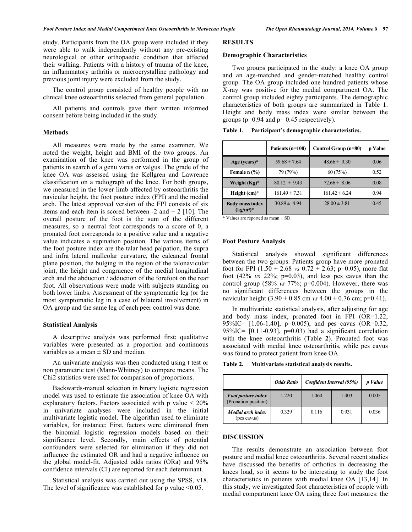study. Participants from the OA group were included if they were able to walk independently without any pre-existing neurological or other orthopaedic condition that affected their walking. Patients with a history of trauma of the knee, an inflammatory arthritis or microcrystalline pathology and previous joint injury were excluded from the study.

The control group consisted of healthy people with no clinical knee osteoarthritis selected from general population.

All patients and controls gave their written informed consent before being included in the study.

## **Methods**

All measures were made by the same examiner. We noted the weight, height and BMI of the two groups. An examination of the knee was performed in the group of patients in search of a genu varus or valgus. The grade of the knee OA was assessed using the Kellgren and Lawrence classification on a radiograph of the knee. For both groups, we measured in the lower limb affected by osteoarthritis the navicular height, the foot posture index (FPI) and the medial arch. The latest approved version of the FPI consists of six items and each item is scored between -2 and + 2 [10]. The overall posture of the foot is the sum of the different measures, so a neutral foot corresponds to a score of 0, a pronated foot corresponds to a positive value and a negative value indicates a supination position. The various items of the foot posture index are the talar head palpation, the supra and infra lateral malleolar curvature, the calcaneal frontal plane position, the bulging in the region of the talonavicular joint, the height and congruence of the medial longitudinal arch and the abduction / adduction of the forefoot on the rear foot. All observations were made with subjects standing on both lower limbs. Assessment of the symptomatic leg (or the most symptomatic leg in a case of bilateral involvement) in OA group and the same leg of each peer control was done.

## **Statistical Analysis**

A descriptive analysis was performed first; qualitative variables were presented as a proportion and continuous variables as a mean  $\pm$  SD and median.

An univariate analysis was then conducted using t test or non parametric test (Mann-Whitney) to compare means. The Chi2 statistics were used for comparison of proportions.

Backwards-manual selection in binary logistic regression model was used to estimate the association of knee OA with explanatory factors. Factors associated with p value < 20% in univariate analyses were included in the initial multivariate logistic model. The algorithm used to eliminate variables, for instance: First, factors were eliminated from the binomial logistic regression models based on their significance level. Secondly, main effects of potential confounders were selected for elimination if they did not influence the estimated OR and had a negative influence on the global model-fit. Adjusted odds ratios (ORa) and 95% confidence intervals (CI) are reported for each determinant.

Statistical analysis was carried out using the SPSS, v18. The level of significance was established for  $p$  value  $\leq 0.05$ .

#### **RESULTS**

## **Demographic Characteristics**

Two groups participated in the study: a knee OA group and an age-matched and gender-matched healthy control group. The OA group included one hundred patients whose X-ray was positive for the medial compartment OA. The control group included eighty participants. The demographic characteristics of both groups are summarized in Table **1**. Height and body mass index were similar between the groups ( $p=0.94$  and  $p=0.45$  respectively).

| Table 1.<br>Participant's demographic characteristics. |  |
|--------------------------------------------------------|--|
|--------------------------------------------------------|--|

|                                      | Patients (n=100)  | Control Group (n=80) | p Value |
|--------------------------------------|-------------------|----------------------|---------|
| Age (years) $*$                      | $59.68 \pm 7.64$  | $48.66 \pm 9.30$     | 0.06    |
| Female n (%)                         | 79 (79%)          | 60(75%)              | 0.52    |
| Weight $(Kg)^*$                      | $80.12 \pm 9.43$  | $72.66 \pm 8.06$     | 0.08    |
| Height $(cm)^*$                      | $161.49 \pm 7.31$ | $161.42 \pm 6.24$    | 0.94    |
| <b>Body mass index</b><br>$(kg/m2)*$ | $30.89 \pm 4.94$  | $28.00 \pm 3.81$     | 0.45    |

\* Values are reported as mean ± SD.

#### **Foot Posture Analysis**

Statistical analysis showed significant differences between the two groups. Patients group have more pronated foot for FPI  $(1.50 \pm 2.68 \text{ vs } 0.72 \pm 2.63; \text{ p=0.05})$ , more flat foot (42% *vs* 22%; p=0.03), and less pes cavus than the control group (58% *vs* 77%; p=0.004). However, there was no significant differences between the groups in the navicular height  $(3.90 \pm 0.85 \text{ cm} \text{ vs } 4.00 \pm 0.76 \text{ cm}; \text{p=0.41}).$ 

In multivariate statistical analysis, after adjusting for age and body mass index, pronated foot in FPI (OR=1.22, 95%IC= [1.06-1.40], p=0.005), and pes cavus (OR=0.32, 95%IC=  $[0.11-0.93]$ , p=0.03) had a significant correlation with the knee osteoarthritis (Table **2**). Pronated foot was associated with medial knee osteoarthritis, while pes cavus was found to protect patient from knee OA.

**Table 2. Multivariate statistical analysis results.**

|                                                   | <b>Odds Ratio</b> | Confident Interval (95%) |       | p Value |
|---------------------------------------------------|-------------------|--------------------------|-------|---------|
| <b>Foot posture index</b><br>(Pronation position) | 1.220             | 1.060                    | 1.403 | 0.005   |
| Medial arch index<br>(pes cavus)                  | 0.329             | 0.116                    | 0.931 | 0.036   |

## **DISCUSSION**

The results demonstrate an association between foot posture and medial knee osteoarthritis. Several recent studies have discussed the benefits of orthotics in decreasing the knees load, so it seems to be interesting to study the foot characteristics in patients with medial knee OA [13,14]. In this study, we investigated foot characteristics of people with medial compartment knee OA using three foot measures: the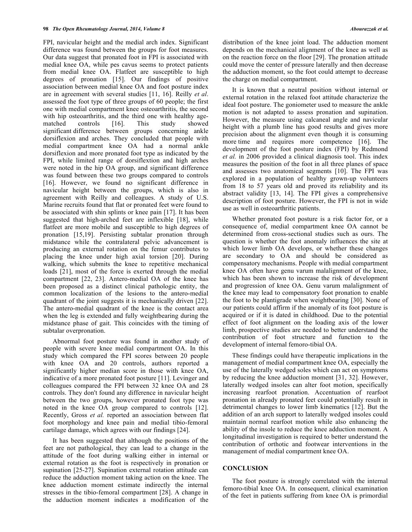FPI, navicular height and the medial arch index. Significant difference was found between the groups for foot measures. Our data suggest that pronated foot in FPI is associated with medial knee OA, while pes cavus seems to protect patients from medial knee OA. Flatfeet are susceptible to high degrees of pronation [15]. Our findings of positive association between medial knee OA and foot posture index are in agreement with several studies [11, 16]. Reilly *et al*. assessed the foot type of three groups of 60 people; the first one with medial compartment knee osteoarthritis, the second with hip osteoarthritis, and the third one with healthy agematched controls [16]. This study showed significant difference between groups concerning ankle dorsiflexion and arches. They concluded that people with medial compartment knee OA had a normal ankle dorsiflexion and more pronated foot type as indicated by the FPI, while limited range of dorsiflextion and high arches were noted in the hip OA group, and significant difference was found between these two groups compared to controls [16]. However, we found no significant difference in navicular height between the groups, which is also in agreement with Reilly and colleagues. A study of U.S. Marine recruits found that flat or pronated feet were found to be associated with shin splints or knee pain [17]. It has been suggested that high-arched feet are inflexible [18], while flatfeet are more mobile and susceptible to high degrees of pronation [15,19]. Persisting subtalar pronation through midstance while the contralateral pelvic advancement is producing an external rotation on the femur contributes to placing the knee under high axial torsion [20]. During walking, which submits the knee to repetitive mechanical loads [21], most of the force is exerted through the medial compartment [22, 23]. Antero-medial OA of the knee has been proposed as a distinct clinical pathologic entity, the common localization of the lesions to the antero-medial quadrant of the joint suggests it is mechanically driven [22]. The antero-medial quadrant of the knee is the contact area when the leg is extended and fully weightbearing during the midstance phase of gait. This coincides with the timing of subtalar overpronation.

Abnormal foot posture was found in another study of people with severe knee medial compartment OA. In this study which compared the FPI scores between 20 people with knee OA and 20 controls, authors reported a significantly higher median score in those with knee OA, indicative of a more pronated foot posture [11]. Levinger and colleagues compared the FPI between 32 knee OA and 28 controls. They don't found any difference in navicular height between the two groups, however pronated foot type was noted in the knee OA group compared to controls [12]. Recently, Gross *et al.* reported an association between flat foot morphology and knee pain and medial tibio-femoral cartilage damage, which agrees with our findings [24].

It has been suggested that although the positions of the feet are not pathological, they can lead to a change in the attitude of the foot during walking either in internal or external rotation as the foot is respectively in pronation or supination [25-27]. Supination external rotation attitude can reduce the adduction moment taking action on the knee. The knee adduction moment estimate indirectly the internal stresses in the tibio-femoral compartment [28]. A change in the adduction moment indicates a modification of the

distribution of the knee joint load. The adduction moment depends on the mechanical alignment of the knee as well as on the reaction force on the floor [29]. The pronation attitude could move the center of pressure laterally and then decrease the adduction moment, so the foot could attempt to decrease the charge on medial compartment.

It is known that a neutral position without internal or external rotation in the relaxed foot attitude characterize the ideal foot posture. The goniometer used to measure the ankle motion is not adapted to assess pronation and supination. However, the measure using calcaneal angle and navicular height with a plumb line has good results and gives more precision about the alignment even though it is consuming more time and requires more competence [16]. The development of the foot posture index (FPI) by Redmond *et al.* in 2006 provided a clinical diagnosis tool. This index measures the position of the foot in all three planes of space and assesses two anatomical segments [10]. The FPI was explored in a population of healthy grown-up volunteers from 18 to 57 years old and proved its reliability and its abstract validity [13, 14]. The FPI gives a comprehensive description of foot posture. However, the FPI is not in wide use as well in osteoarthritic patients.

Whether pronated foot posture is a risk factor for, or a consequence of, medial compartment knee OA cannot be determined from cross-sectional studies such as ours. The question is whether the foot anomaly influences the site at which lower limb OA develops, or whether these changes are secondary to OA and should be considered as compensatory mechanisms. People with medial compartment knee OA often have genu varum malalignment of the knee, which has been shown to increase the risk of development and progression of knee OA. Genu varum malalignment of the knee may lead to compensatory foot pronation to enable the foot to be plantigrade when weightbearing [30]. None of our patients could affirm if the anomaly of its foot posture is acquired or if it is dated in childhood. Due to the potential effect of foot alignment on the loading axis of the lower limb, prospective studies are needed to better understand the contribution of foot structure and function to the development of internal femoro-tibial OA.

These findings could have therapeutic implications in the management of medial compartment knee OA, especially the use of the laterally wedged soles which can act on symptoms by reducing the knee adduction moment [31, 32]. However, laterally wedged insoles can alter foot motion, specifically increasing rearfoot pronation. Accentuation of rearfoot pronation in already pronated feet could potentially result in detrimental changes to lower limb kinematics [12]. But the addition of an arch support to laterally wedged insoles could maintain normal rearfoot motion while also enhancing the ability of the insole to reduce the knee adduction moment. A longitudinal investigation is required to better understand the contribution of orthotic and footwear interventions in the management of medial compartment knee OA.

## **CONCLUSION**

The foot posture is strongly correlated with the internal femoro-tibial knee OA. In consequent, clinical examination of the feet in patients suffering from knee OA is primordial